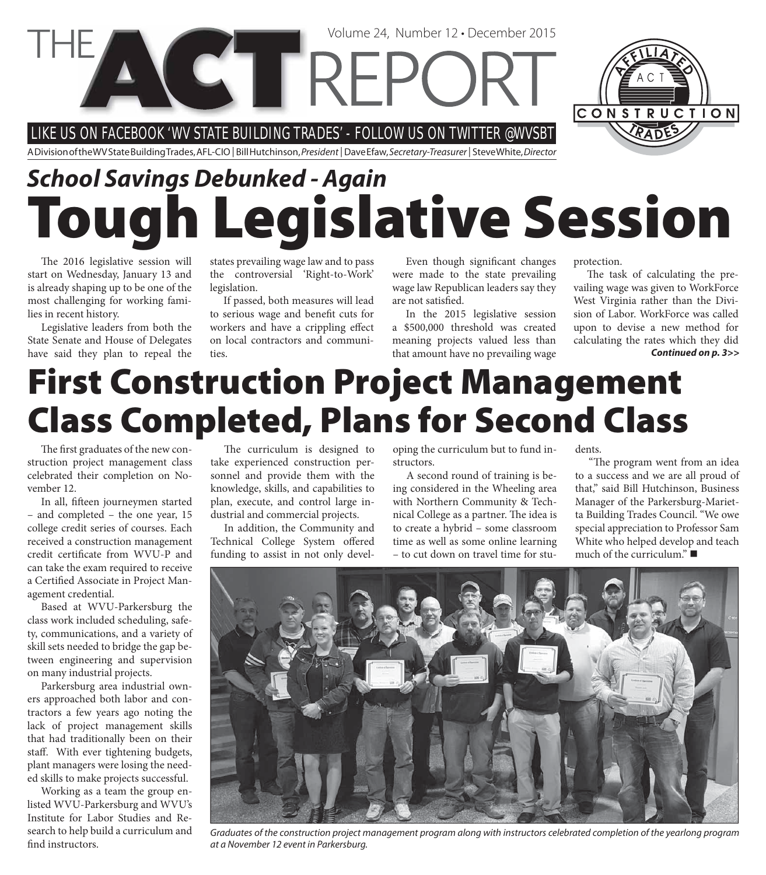LIKE US ON FACEBOOK 'WV STATE BUILDING TRADES' - FOLLOW US ON TWITTER @WVSBT

A Division of the WV State Building Trades, AFL-CIO | Bill Hutchinson, President | Dave Efaw, Secretary-Treasurer | Steve White, Director

**VETREPC** 

# **Tough Legislative Session** *School Savings Debunked - Again*

The 2016 legislative session will start on Wednesday, January 13 and is already shaping up to be one of the most challenging for working families in recent history.

Legislative leaders from both the State Senate and House of Delegates have said they plan to repeal the states prevailing wage law and to pass the controversial 'Right-to-Work' legislation.

If passed, both measures will lead to serious wage and benefit cuts for workers and have a crippling effect on local contractors and communities.

Even though significant changes were made to the state prevailing wage law Republican leaders say they are not satisfied.

Volume 24, Number 12 • December 2015

In the 2015 legislative session a \$500,000 threshold was created meaning projects valued less than that amount have no prevailing wage protection.

The task of calculating the prevailing wage was given to WorkForce West Virginia rather than the Division of Labor. WorkForce was called upon to devise a new method for calculating the rates which they did *Continued on p. 3>>*

# **First Construction Project Management Class Completed, Plans for Second Class**

The first graduates of the new construction project management class celebrated their completion on November 12.

In all, fifteen journeymen started – and completed – the one year, 15 college credit series of courses. Each received a construction management credit certificate from WVU-P and can take the exam required to receive a Certified Associate in Project Management credential.

Based at WVU-Parkersburg the class work included scheduling, safety, communications, and a variety of skill sets needed to bridge the gap between engineering and supervision on many industrial projects.

Parkersburg area industrial owners approached both labor and contractors a few years ago noting the lack of project management skills that had traditionally been on their staff. With ever tightening budgets, plant managers were losing the needed skills to make projects successful.

Working as a team the group enlisted WVU-Parkersburg and WVU's Institute for Labor Studies and Research to help build a curriculum and find instructors.

The curriculum is designed to take experienced construction personnel and provide them with the knowledge, skills, and capabilities to plan, execute, and control large industrial and commercial projects.

In addition, the Community and Technical College System offered funding to assist in not only developing the curriculum but to fund instructors.

A second round of training is being considered in the Wheeling area with Northern Community & Technical College as a partner. The idea is to create a hybrid – some classroom time as well as some online learning – to cut down on travel time for students.

"The program went from an idea to a success and we are all proud of that," said Bill Hutchinson, Business Manager of the Parkersburg-Marietta Building Trades Council. "We owe special appreciation to Professor Sam White who helped develop and teach much of the curriculum."



Graduates of the construction project management program along with instructors celebrated completion of the yearlong program at a November 12 event in Parkersburg.

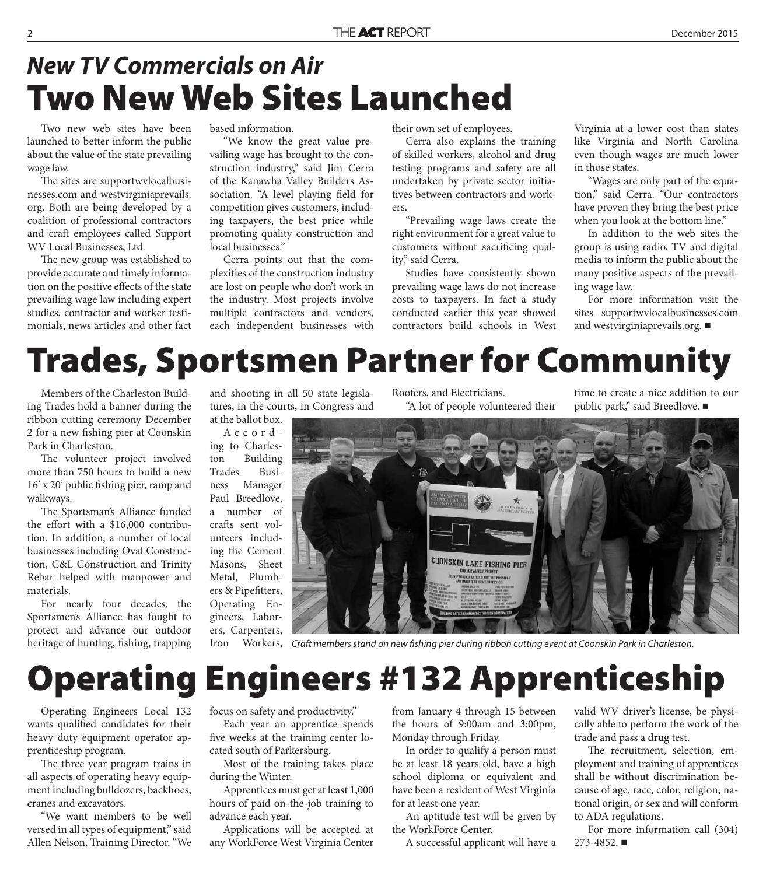#### **Two New Web Sites Launched** *New TV Commercials on Air*

Two new web sites have been launched to better inform the public about the value of the state prevailing wage law.

The sites are supportwvlocalbusinesses.com and westvirginiaprevails. org. Both are being developed by a coalition of professional contractors and craft employees called Support WV Local Businesses, Ltd.

The new group was established to provide accurate and timely information on the positive effects of the state prevailing wage law including expert studies, contractor and worker testimonials, news articles and other fact

based information.

"We know the great value prevailing wage has brought to the construction industry," said Jim Cerra of the Kanawha Valley Builders Association. "A level playing field for competition gives customers, including taxpayers, the best price while promoting quality construction and local businesses."

Cerra points out that the complexities of the construction industry are lost on people who don't work in the industry. Most projects involve multiple contractors and vendors, each independent businesses with their own set of employees.

Cerra also explains the training of skilled workers, alcohol and drug testing programs and safety are all undertaken by private sector initiatives between contractors and workers.

"Prevailing wage laws create the right environment for a great value to customers without sacrificing quality," said Cerra.

Studies have consistently shown prevailing wage laws do not increase costs to taxpayers. In fact a study conducted earlier this year showed contractors build schools in West

Virginia at a lower cost than states like Virginia and North Carolina even though wages are much lower in those states.

"Wages are only part of the equation," said Cerra. "Our contractors have proven they bring the best price when you look at the bottom line."

In addition to the web sites the group is using radio, TV and digital media to inform the public about the many positive aspects of the prevailing wage law.

For more information visit the sites supportwvlocalbusinesses.com and westvirginiaprevails.org.

## **Trades, Sportsmen Partner for Community**

Members of the Charleston Building Trades hold a banner during the ribbon cutting ceremony December 2 for a new fishing pier at Coonskin Park in Charleston.

The volunteer project involved more than 750 hours to build a new 16' x 20' public fishing pier, ramp and walkways.

The Sportsman's Alliance funded the effort with a  $$16,000$  contribution. In addition, a number of local businesses including Oval Construction, C&L Construction and Trinity Rebar helped with manpower and materials.

For nearly four decades, the Sportsmen's Alliance has fought to protect and advance our outdoor heritage of hunting, fishing, trapping

and shooting in all 50 state legislatures, in the courts, in Congress and

at the ballot box. According to Charleston Building Trades Business Manager Paul Breedlove, a number of crafts sent volunteers including the Cement Masons, Sheet Metal, Plumbers & Pipefitters, Operating Engineers, Laborers, Carpenters,

Roofers, and Electricians. "A lot of people volunteered their time to create a nice addition to our public park," said Breedlove. ■



Iron Workers, Craft members stand on new fishing pier during ribbon cutting event at Coonskin Park in Charleston.

# **Operating Engineers #132 Apprenticeship**

Operating Engineers Local 132 wants qualified candidates for their heavy duty equipment operator apprenticeship program.

The three year program trains in all aspects of operating heavy equipment including bulldozers, backhoes, cranes and excavators.

"We want members to be well versed in all types of equipment," said Allen Nelson, Training Director. "We

#### focus on safety and productivity."

Each year an apprentice spends five weeks at the training center located south of Parkersburg.

Most of the training takes place during the Winter.

Apprentices must get at least 1,000 hours of paid on-the-job training to advance each year.

Applications will be accepted at any WorkForce West Virginia Center from January 4 through 15 between the hours of 9:00am and 3:00pm, Monday through Friday.

In order to qualify a person must be at least 18 years old, have a high school diploma or equivalent and have been a resident of West Virginia for at least one year.

An aptitude test will be given by the WorkForce Center.

A successful applicant will have a

valid WV driver's license, be physically able to perform the work of the trade and pass a drug test.

The recruitment, selection, employment and training of apprentices shall be without discrimination because of age, race, color, religion, national origin, or sex and will conform to ADA regulations.

For more information call (304) 273-4852.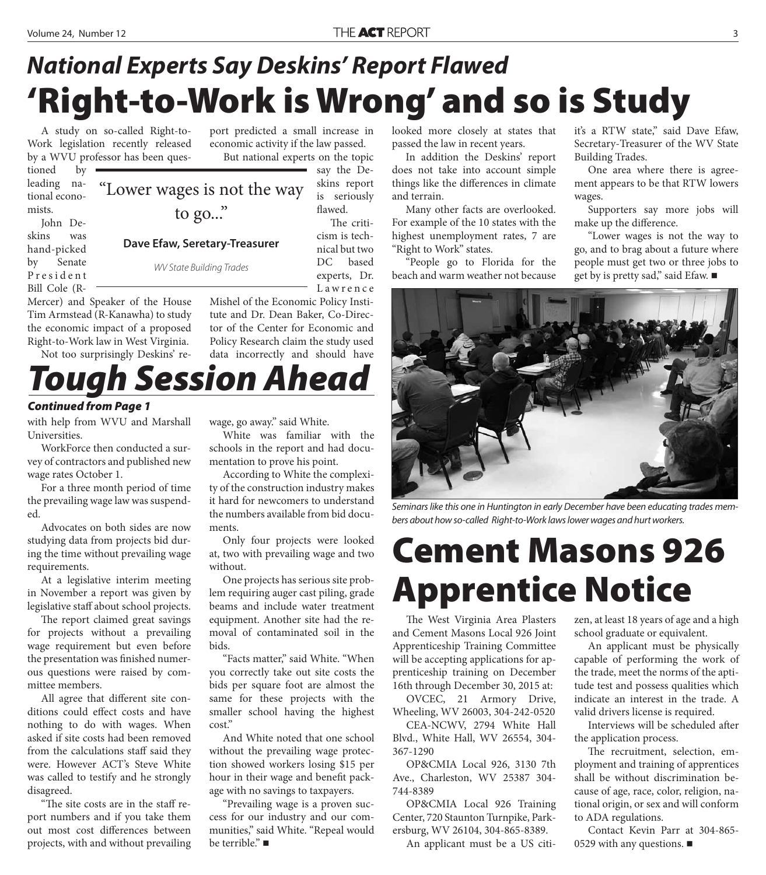tioned by leading national econo-

John Deskins was hand-picked by Senate P r e s i d e n t Bill Cole (R-

mists.

#### **'Right-to-Work is Wrong' and so is Study** *National Experts Say Deskins' Report Flawed*

A study on so-called Right-to-Work legislation recently released by a WVU professor has been ques-

port predicted a small increase in economic activity if the law passed. But national experts on the topic

say the Deskins report is seriously flawed. "Lower wages is not the way

> The criticism is technical but two DC based experts, Dr.

Mercer) and Speaker of the House Tim Armstead (R-Kanawha) to study the economic impact of a proposed Right-to-Work law in West Virginia.

Not too surprisingly Deskins' re-

L a w r e n c e Mishel of the Economic Policy Institute and Dr. Dean Baker, Co-Director of the Center for Economic and Policy Research claim the study used

data incorrectly and should have

#### **Session Ahead**

to go..."

**Dave Efaw, Seretary-Treasurer**

WV State Building Trades

#### *Continued from Page 1*

with help from WVU and Marshall Universities.

WorkForce then conducted a survey of contractors and published new wage rates October 1.

For a three month period of time the prevailing wage law was suspended.

Advocates on both sides are now studying data from projects bid during the time without prevailing wage requirements.

At a legislative interim meeting in November a report was given by legislative staff about school projects.

The report claimed great savings for projects without a prevailing wage requirement but even before the presentation was finished numerous questions were raised by committee members.

All agree that different site conditions could effect costs and have nothing to do with wages. When asked if site costs had been removed from the calculations staff said they were. However ACT's Steve White was called to testify and he strongly disagreed.

"The site costs are in the staff report numbers and if you take them out most cost differences between projects, with and without prevailing wage, go away." said White.

White was familiar with the schools in the report and had documentation to prove his point.

According to White the complexity of the construction industry makes it hard for newcomers to understand the numbers available from bid documents.

Only four projects were looked at, two with prevailing wage and two without.

One projects has serious site problem requiring auger cast piling, grade beams and include water treatment equipment. Another site had the removal of contaminated soil in the bids.

"Facts matter," said White. "When you correctly take out site costs the bids per square foot are almost the same for these projects with the smaller school having the highest cost."

And White noted that one school without the prevailing wage protection showed workers losing \$15 per hour in their wage and benefit package with no savings to taxpayers.

"Prevailing wage is a proven success for our industry and our communities," said White. "Repeal would be terrible." ■

looked more closely at states that passed the law in recent years.

In addition the Deskins' report does not take into account simple things like the differences in climate and terrain.

Many other facts are overlooked. For example of the 10 states with the highest unemployment rates, 7 are "Right to Work" states.

"People go to Florida for the beach and warm weather not because it's a RTW state," said Dave Efaw, Secretary-Treasurer of the WV State Building Trades.

One area where there is agreement appears to be that RTW lowers wages.

Supporters say more jobs will make up the difference.

"Lower wages is not the way to go, and to brag about a future where people must get two or three jobs to get by is pretty sad," said Efaw. ■



Seminars like this one in Huntington in early December have been educating trades members about how so-called Right-to-Work laws lower wages and hurt workers.

### **Cement Masons 926 Apprentice Notice**

The West Virginia Area Plasters and Cement Masons Local 926 Joint Apprenticeship Training Committee will be accepting applications for apprenticeship training on December 16th through December 30, 2015 at:

OVCEC, 21 Armory Drive, Wheeling, WV 26003, 304-242-0520

CEA-NCWV, 2794 White Hall Blvd., White Hall, WV 26554, 304- 367-1290

OP&CMIA Local 926, 3130 7th Ave., Charleston, WV 25387 304- 744-8389

OP&CMIA Local 926 Training Center, 720 Staunton Turnpike, Parkersburg, WV 26104, 304-865-8389.

An applicant must be a US citi-

zen, at least 18 years of age and a high school graduate or equivalent.

An applicant must be physically capable of performing the work of the trade, meet the norms of the aptitude test and possess qualities which indicate an interest in the trade. A valid drivers license is required.

Interviews will be scheduled after the application process.

The recruitment, selection, employment and training of apprentices shall be without discrimination because of age, race, color, religion, national origin, or sex and will conform to ADA regulations.

Contact Kevin Parr at 304-865- 0529 with any questions.  $\blacksquare$